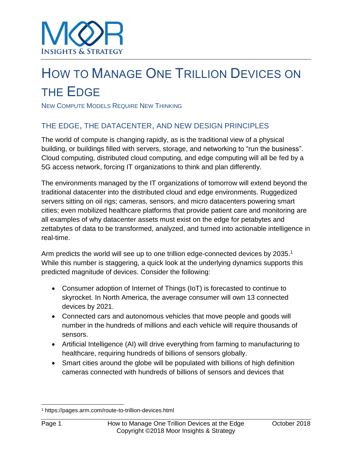# HOW TO MANAGE ONE TRILLION DEVICES ON THE EDGE

NEW COMPUTE MODELS REQUIRE NEW THINKING

# THE EDGE, THE DATACENTER, AND NEW DESIGN PRINCIPLES

The world of compute is changing rapidly, as is the traditional view of a physical building, or buildings filled with servers, storage, and networking to "run the business". Cloud computing, distributed cloud computing, and edge computing will all be fed by a 5G access network, forcing IT organizations to think and plan differently.

The environments managed by the IT organizations of tomorrow will extend beyond the traditional datacenter into the distributed cloud and edge environments. Ruggedized servers sitting on oil rigs; cameras, sensors, and micro datacenters powering smart cities; even mobilized healthcare platforms that provide patient care and monitoring are all examples of why datacenter assets must exist on the edge for petabytes and zettabytes of data to be transformed, analyzed, and turned into actionable intelligence in real-time.

Arm predicts the world will see up to one trillion edge-connected devices by 2035.<sup>1</sup> While this number is staggering, a quick look at the underlying dynamics supports this predicted magnitude of devices. Consider the following:

- Consumer adoption of Internet of Things (IoT) is forecasted to continue to skyrocket. In North America, the average consumer will own 13 connected devices by 2021.
- Connected cars and autonomous vehicles that move people and goods will number in the hundreds of millions and each vehicle will require thousands of sensors.
- Artificial Intelligence (AI) will drive everything from farming to manufacturing to healthcare, requiring hundreds of billions of sensors globally.
- Smart cities around the globe will be populated with billions of high definition cameras connected with hundreds of billions of sensors and devices that

l <sup>1</sup> https://pages.arm.com/route-to-trillion-devices.html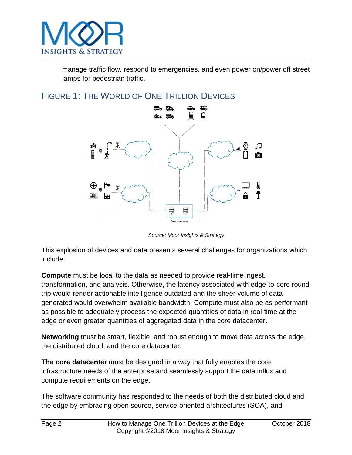

manage traffic flow, respond to emergencies, and even power on/power off street lamps for pedestrian traffic.

# FIGURE 1: THE WORLD OF ONE TRILLION DEVICES



*Source: Moor Insights & Strategy*

This explosion of devices and data presents several challenges for organizations which include:

**Compute** must be local to the data as needed to provide real-time ingest, transformation, and analysis. Otherwise, the latency associated with edge-to-core round trip would render actionable intelligence outdated and the sheer volume of data generated would overwhelm available bandwidth. Compute must also be as performant as possible to adequately process the expected quantities of data in real-time at the edge or even greater quantities of aggregated data in the core datacenter.

**Networking** must be smart, flexible, and robust enough to move data across the edge, the distributed cloud, and the core datacenter.

**The core datacenter** must be designed in a way that fully enables the core infrastructure needs of the enterprise and seamlessly support the data influx and compute requirements on the edge.

The software community has responded to the needs of both the distributed cloud and the edge by embracing open source, service-oriented architectures (SOA), and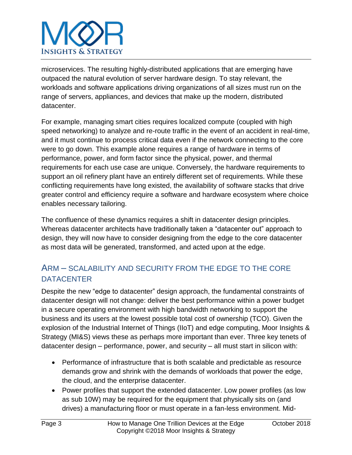

microservices. The resulting highly-distributed applications that are emerging have outpaced the natural evolution of server hardware design. To stay relevant, the workloads and software applications driving organizations of all sizes must run on the range of servers, appliances, and devices that make up the modern, distributed datacenter.

For example, managing smart cities requires localized compute (coupled with high speed networking) to analyze and re-route traffic in the event of an accident in real-time, and it must continue to process critical data even if the network connecting to the core were to go down. This example alone requires a range of hardware in terms of performance, power, and form factor since the physical, power, and thermal requirements for each use case are unique. Conversely, the hardware requirements to support an oil refinery plant have an entirely different set of requirements. While these conflicting requirements have long existed, the availability of software stacks that drive greater control and efficiency require a software and hardware ecosystem where choice enables necessary tailoring.

The confluence of these dynamics requires a shift in datacenter design principles. Whereas datacenter architects have traditionally taken a "datacenter out" approach to design, they will now have to consider designing from the edge to the core datacenter as most data will be generated, transformed, and acted upon at the edge.

# ARM – SCALABILITY AND SECURITY FROM THE EDGE TO THE CORE **DATACENTER**

Despite the new "edge to datacenter" design approach, the fundamental constraints of datacenter design will not change: deliver the best performance within a power budget in a secure operating environment with high bandwidth networking to support the business and its users at the lowest possible total cost of ownership (TCO). Given the explosion of the Industrial Internet of Things (IIoT) and edge computing, Moor Insights & Strategy (MI&S) views these as perhaps more important than ever. Three key tenets of datacenter design – performance, power, and security – all must start in silicon with:

- Performance of infrastructure that is both scalable and predictable as resource demands grow and shrink with the demands of workloads that power the edge, the cloud, and the enterprise datacenter.
- Power profiles that support the extended datacenter. Low power profiles (as low as sub 10W) may be required for the equipment that physically sits on (and drives) a manufacturing floor or must operate in a fan-less environment. Mid-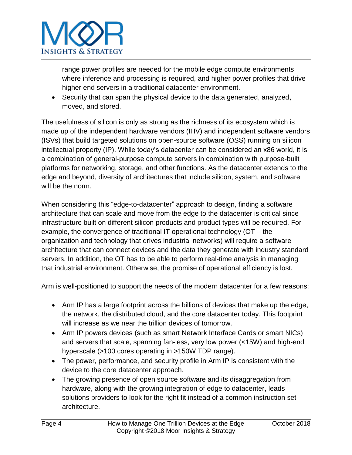

range power profiles are needed for the mobile edge compute environments where inference and processing is required, and higher power profiles that drive higher end servers in a traditional datacenter environment.

• Security that can span the physical device to the data generated, analyzed, moved, and stored.

The usefulness of silicon is only as strong as the richness of its ecosystem which is made up of the independent hardware vendors (IHV) and independent software vendors (ISVs) that build targeted solutions on open-source software (OSS) running on silicon intellectual property (IP). While today's datacenter can be considered an x86 world, it is a combination of general-purpose compute servers in combination with purpose-built platforms for networking, storage, and other functions. As the datacenter extends to the edge and beyond, diversity of architectures that include silicon, system, and software will be the norm.

When considering this "edge-to-datacenter" approach to design, finding a software architecture that can scale and move from the edge to the datacenter is critical since infrastructure built on different silicon products and product types will be required. For example, the convergence of traditional IT operational technology (OT – the organization and technology that drives industrial networks) will require a software architecture that can connect devices and the data they generate with industry standard servers. In addition, the OT has to be able to perform real-time analysis in managing that industrial environment. Otherwise, the promise of operational efficiency is lost.

Arm is well-positioned to support the needs of the modern datacenter for a few reasons:

- Arm IP has a large footprint across the billions of devices that make up the edge, the network, the distributed cloud, and the core datacenter today. This footprint will increase as we near the trillion devices of tomorrow.
- Arm IP powers devices (such as smart Network Interface Cards or smart NICs) and servers that scale, spanning fan-less, very low power (<15W) and high-end hyperscale (>100 cores operating in >150W TDP range).
- The power, performance, and security profile in Arm IP is consistent with the device to the core datacenter approach.
- The growing presence of open source software and its disaggregation from hardware, along with the growing integration of edge to datacenter, leads solutions providers to look for the right fit instead of a common instruction set architecture.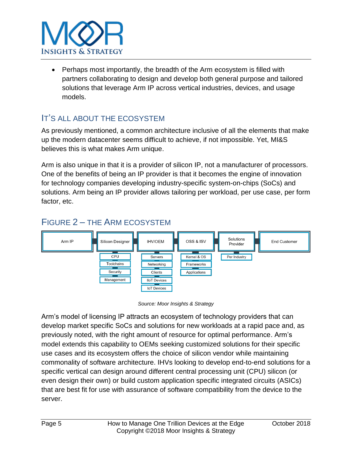

• Perhaps most importantly, the breadth of the Arm ecosystem is filled with partners collaborating to design and develop both general purpose and tailored solutions that leverage Arm IP across vertical industries, devices, and usage models.

# IT'S ALL ABOUT THE ECOSYSTEM

As previously mentioned, a common architecture inclusive of all the elements that make up the modern datacenter seems difficult to achieve, if not impossible. Yet, MI&S believes this is what makes Arm unique.

Arm is also unique in that it is a provider of silicon IP, not a manufacturer of processors. One of the benefits of being an IP provider is that it becomes the engine of innovation for technology companies developing industry-specific system-on-chips (SoCs) and solutions. Arm being an IP provider allows tailoring per workload, per use case, per form factor, etc.



# FIGURE 2 – THE ARM ECOSYSTEM

*Source: Moor Insights & Strategy*

Arm's model of licensing IP attracts an ecosystem of technology providers that can develop market specific SoCs and solutions for new workloads at a rapid pace and, as previously noted, with the right amount of resource for optimal performance. Arm's model extends this capability to OEMs seeking customized solutions for their specific use cases and its ecosystem offers the choice of silicon vendor while maintaining commonality of software architecture. IHVs looking to develop end-to-end solutions for a specific vertical can design around different central processing unit (CPU) silicon (or even design their own) or build custom application specific integrated circuits (ASICs) that are best fit for use with assurance of software compatibility from the device to the server.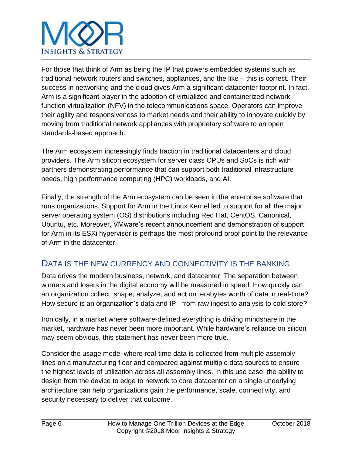

For those that think of Arm as being the IP that powers embedded systems such as traditional network routers and switches, appliances, and the like – this is correct. Their success in networking and the cloud gives Arm a significant datacenter footprint. In fact, Arm is a significant player in the adoption of virtualized and containerized network function virtualization (NFV) in the telecommunications space. Operators can improve their agility and responsiveness to market needs and their ability to innovate quickly by moving from traditional network appliances with proprietary software to an open standards-based approach.

The Arm ecosystem increasingly finds traction in traditional datacenters and cloud providers. The Arm silicon ecosystem for server class CPUs and SoCs is rich with partners demonstrating performance that can support both traditional infrastructure needs, high performance computing (HPC) workloads, and AI.

Finally, the strength of the Arm ecosystem can be seen in the enterprise software that runs organizations. Support for Arm in the Linux Kernel led to support for all the major server operating system (OS) distributions including Red Hat, CentOS, Canonical, Ubuntu, etc. Moreover, VMware's recent announcement and demonstration of support for Arm in its ESXi hypervisor is perhaps the most profound proof point to the relevance of Arm in the datacenter.

## DATA IS THE NEW CURRENCY AND CONNECTIVITY IS THE BANKING

Data drives the modern business, network, and datacenter. The separation between winners and losers in the digital economy will be measured in speed. How quickly can an organization collect, shape, analyze, and act on terabytes worth of data in real-time? How secure is an organization's data and IP - from raw ingest to analysis to cold store?

Ironically, in a market where software-defined everything is driving mindshare in the market, hardware has never been more important. While hardware's reliance on silicon may seem obvious, this statement has never been more true.

Consider the usage model where real-time data is collected from multiple assembly lines on a manufacturing floor and compared against multiple data sources to ensure the highest levels of utilization across all assembly lines. In this use case, the ability to design from the device to edge to network to core datacenter on a single underlying architecture can help organizations gain the performance, scale, connectivity, and security necessary to deliver that outcome.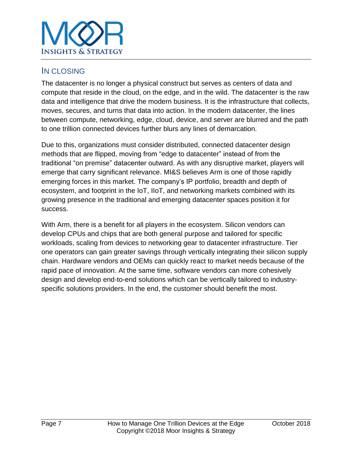

## IN CLOSING

The datacenter is no longer a physical construct but serves as centers of data and compute that reside in the cloud, on the edge, and in the wild. The datacenter is the raw data and intelligence that drive the modern business. It is the infrastructure that collects, moves, secures, and turns that data into action. In the modern datacenter, the lines between compute, networking, edge, cloud, device, and server are blurred and the path to one trillion connected devices further blurs any lines of demarcation.

Due to this, organizations must consider distributed, connected datacenter design methods that are flipped, moving from "edge to datacenter" instead of from the traditional "on premise" datacenter outward. As with any disruptive market, players will emerge that carry significant relevance. MI&S believes Arm is one of those rapidly emerging forces in this market. The company's IP portfolio, breadth and depth of ecosystem, and footprint in the IoT, IIoT, and networking markets combined with its growing presence in the traditional and emerging datacenter spaces position it for success.

With Arm, there is a benefit for all players in the ecosystem. Silicon vendors can develop CPUs and chips that are both general purpose and tailored for specific workloads, scaling from devices to networking gear to datacenter infrastructure. Tier one operators can gain greater savings through vertically integrating their silicon supply chain. Hardware vendors and OEMs can quickly react to market needs because of the rapid pace of innovation. At the same time, software vendors can more cohesively design and develop end-to-end solutions which can be vertically tailored to industryspecific solutions providers. In the end, the customer should benefit the most.